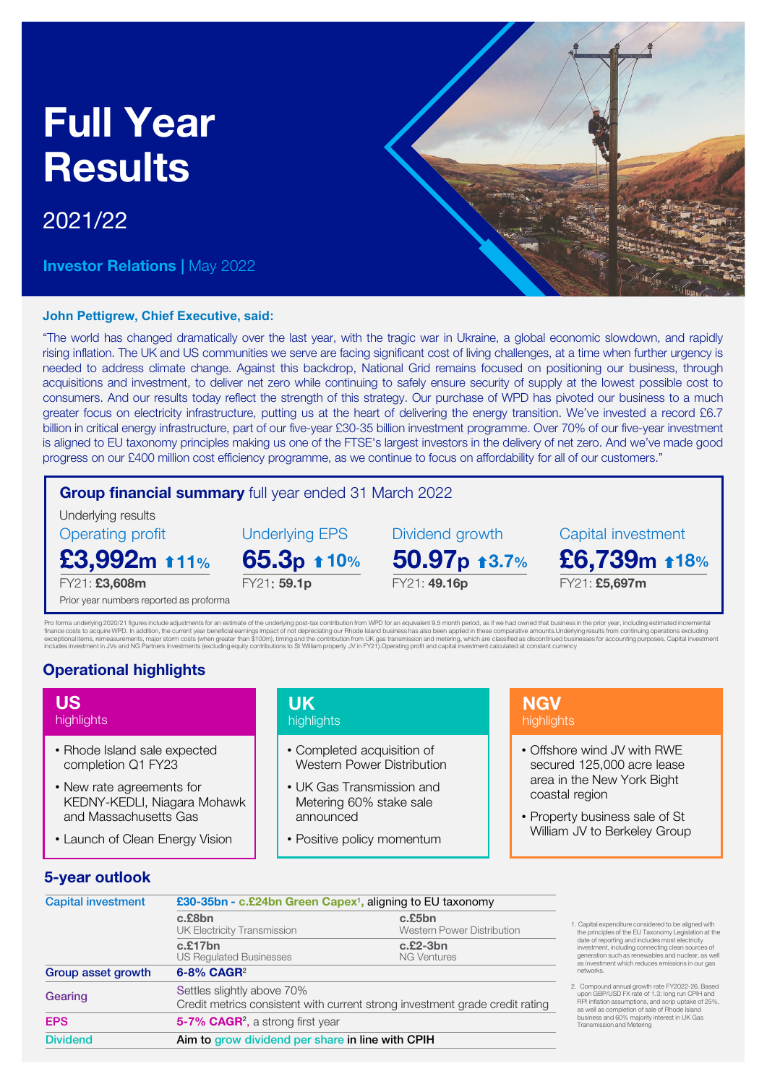# Full Year **Results**

# 2021/22

**Investor Relations | May 2022** 

#### **John Pettigrew, Chief Executive, said:**

"The world has changed dramatically over the last year, with the tragic war in Ukraine, a global economic slowdown, and rapidly rising inflation. The UK and US communities we serve are facing significant cost of living challenges, at a time when further urgency is needed to address climate change. Against this backdrop, National Grid remains focused on positioning our business, through acquisitions and investment, to deliver net zero while continuing to safely ensure security of supply at the lowest possible cost to consumers. And our results today reflect the strength of this strategy. Our purchase of WPD has pivoted our business to a much greater focus on electricity infrastructure, putting us at the heart of delivering the energy transition. We've invested a record £6.7 billion in critical energy infrastructure, part of our five-year £30-35 billion investment programme. Over 70% of our five-year investment is aligned to EU taxonomy principles making us one of the FTSE's largest investors in the delivery of net zero. And we've made good progress on our £400 million cost efficiency programme, as we continue to focus on affordability for all of our customers."

## Group financial summary full year ended 31 March 2022

FY21: 59.1p

Underlying EPS

Underlying results Operating profit

£3,992m t11% 11% 65.3p + 10% 50.97p + 3.7% £6,739m + 18%

FY21: £3,608m

US highlights

Prior year numbers reported as proforma

Pro forma underlying 2020/21 figures include adjustments for an estimate of the underlying post-tax contribution from WPD for an equivalent 9.5 month period, as if we had owned that business in the prior year, including es

FY21: 49.16p

# Operational highlights

• Rhode Island sale expected completion Q1 FY23 • New rate agreements for

and Massachusetts Gas

• Launch of Clean Energy Vision

KEDNY-KEDLI, Niagara Mohawk

- Completed acquisition of Western Power Distribution
- UK Gas Transmission and Metering 60% stake sale announced
- Positive policy momentum

# **NGV** highlights

Dividend growth Capital investment

• Offshore wind JV with RWE secured 125,000 acre lease area in the New York Bight coastal region

FY21: £5,697m

• Property business sale of St William JV to Berkeley Group

# 5-year outlook

| <b>Capital investment</b> | £30-35bn - c.£24bn Green Capex <sup>1</sup> , aligning to EU taxonomy                                      |                                                   |  |  |  |
|---------------------------|------------------------------------------------------------------------------------------------------------|---------------------------------------------------|--|--|--|
|                           | c.£8bn<br><b>UK Electricity Transmission</b>                                                               | $c$ . $£5bn$<br><b>Western Power Distribution</b> |  |  |  |
|                           | c.£17bn<br><b>US Regulated Businesses</b>                                                                  | $c.E2-3bn$<br><b>NG Ventures</b>                  |  |  |  |
| Group asset growth        | 6-8% CAGR <sup>2</sup>                                                                                     |                                                   |  |  |  |
| Gearing                   | Settles slightly above 70%<br>Credit metrics consistent with current strong investment grade credit rating |                                                   |  |  |  |
| <b>EPS</b>                | 5-7% CAGR <sup>2</sup> , a strong first year                                                               |                                                   |  |  |  |
| <b>Dividend</b>           | Aim to grow dividend per share in line with CPIH                                                           |                                                   |  |  |  |
|                           |                                                                                                            |                                                   |  |  |  |

UK **highlights** 

- 1. Capital expenditure considered to be aligned with the principles of the EU Taxonomy Legislation at the date of reporting and includes most electricity investment, including connecting clean sources of generation such as renewables and nuclear, as well as investment which reduces emissions in our gas networks.
- 2. Compound annual growth rate FY2022-26. Based upon GBP/USD FX rate of 1.3; long run CPIH and RPI inflation assumptions, and scrip uptake of 25%, as well as completion of sale of Rhode Island business and 60% majority interest in UK Gas Transmission and Metering